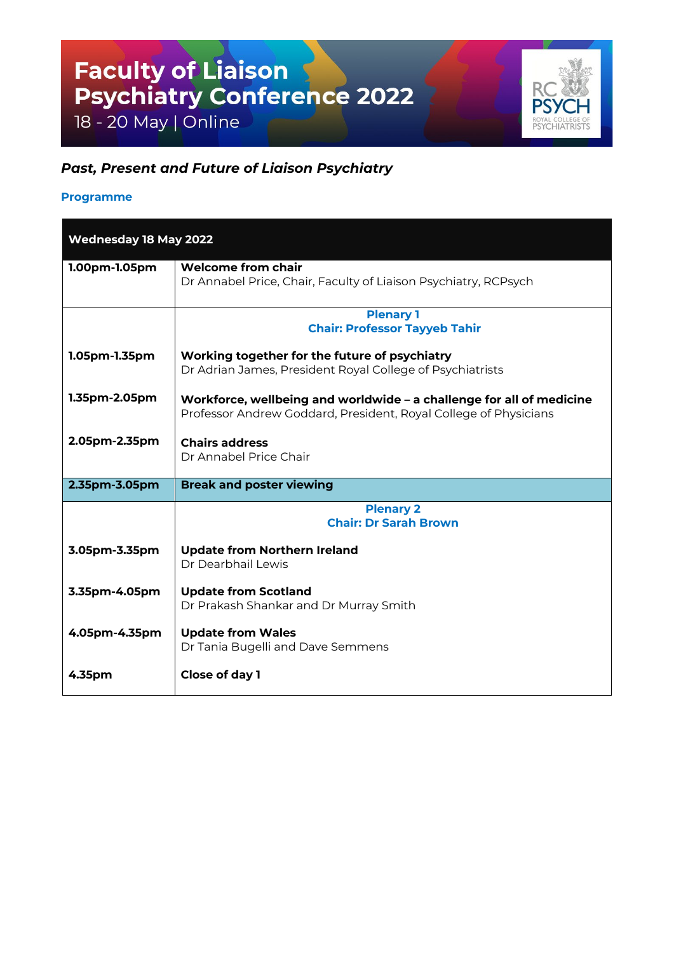## Faculty of Liaison<br>Psychiatry Conference 2022

18 - 20 May | Online

## $R($ **PS**

## *Past, Present and Future of Liaison Psychiatry*

## **Programme**

| <b>Wednesday 18 May 2022</b> |                                                                                                                                          |
|------------------------------|------------------------------------------------------------------------------------------------------------------------------------------|
| 1.00pm-1.05pm                | <b>Welcome from chair</b><br>Dr Annabel Price, Chair, Faculty of Liaison Psychiatry, RCPsych                                             |
|                              | <b>Plenary 1</b><br><b>Chair: Professor Tayyeb Tahir</b>                                                                                 |
| 1.05pm-1.35pm                | Working together for the future of psychiatry<br>Dr Adrian James, President Royal College of Psychiatrists                               |
| 1.35pm-2.05pm                | Workforce, wellbeing and worldwide – a challenge for all of medicine<br>Professor Andrew Goddard, President, Royal College of Physicians |
| 2.05pm-2.35pm                | <b>Chairs address</b><br>Dr Annabel Price Chair                                                                                          |
| 2.35pm-3.05pm                | <b>Break and poster viewing</b>                                                                                                          |
|                              | <b>Plenary 2</b><br><b>Chair: Dr Sarah Brown</b>                                                                                         |
| 3.05pm-3.35pm                | <b>Update from Northern Ireland</b><br>Dr Dearbhail Lewis                                                                                |
| 3.35pm-4.05pm                | <b>Update from Scotland</b><br>Dr Prakash Shankar and Dr Murray Smith                                                                    |
| 4.05pm-4.35pm                | <b>Update from Wales</b><br>Dr Tania Bugelli and Dave Semmens                                                                            |
| 4.35pm                       | Close of day 1                                                                                                                           |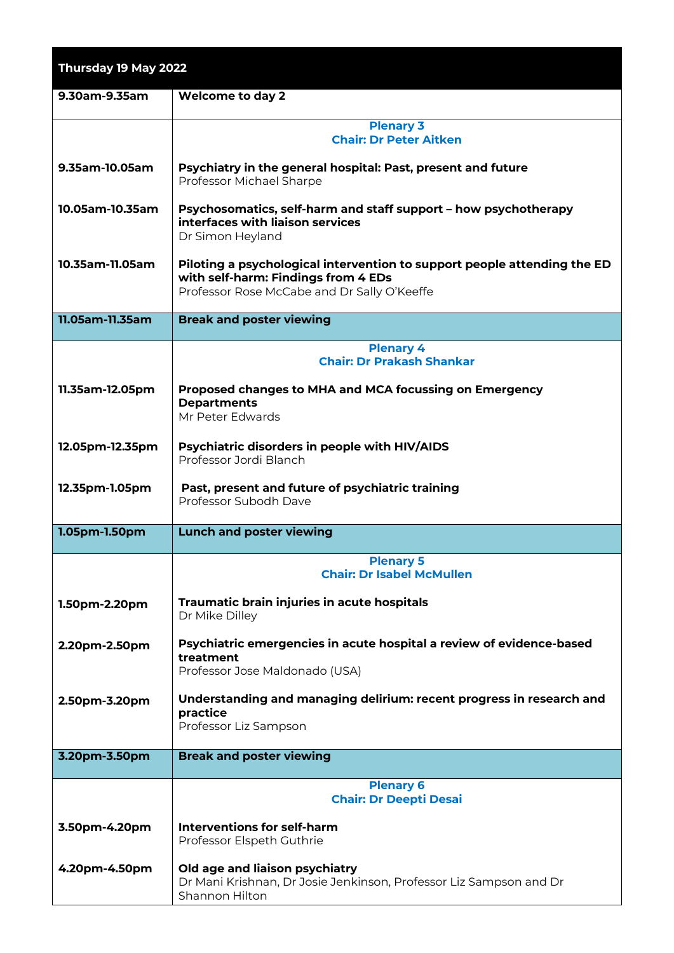| Thursday 19 May 2022 |                                                                                                                                                                |
|----------------------|----------------------------------------------------------------------------------------------------------------------------------------------------------------|
| 9.30am-9.35am        | <b>Welcome to day 2</b>                                                                                                                                        |
|                      | <b>Plenary 3</b><br><b>Chair: Dr Peter Aitken</b>                                                                                                              |
| 9.35am-10.05am       | Psychiatry in the general hospital: Past, present and future<br>Professor Michael Sharpe                                                                       |
| 10.05am-10.35am      | Psychosomatics, self-harm and staff support - how psychotherapy<br>interfaces with liaison services<br>Dr Simon Heyland                                        |
| 10.35am-11.05am      | Piloting a psychological intervention to support people attending the ED<br>with self-harm: Findings from 4 EDs<br>Professor Rose McCabe and Dr Sally O'Keeffe |
| 11.05am-11.35am      | <b>Break and poster viewing</b>                                                                                                                                |
|                      | <b>Plenary 4</b><br><b>Chair: Dr Prakash Shankar</b>                                                                                                           |
| 11.35am-12.05pm      | Proposed changes to MHA and MCA focussing on Emergency<br><b>Departments</b><br>Mr Peter Edwards                                                               |
| 12.05pm-12.35pm      | Psychiatric disorders in people with HIV/AIDS<br>Professor Jordi Blanch                                                                                        |
| 12.35pm-1.05pm       | Past, present and future of psychiatric training<br>Professor Subodh Dave                                                                                      |
| 1.05pm-1.50pm        | <b>Lunch and poster viewing</b>                                                                                                                                |
|                      | <b>Plenary 5</b><br><b>Chair: Dr Isabel McMullen</b>                                                                                                           |
| 1.50pm-2.20pm        | Traumatic brain injuries in acute hospitals<br>Dr Mike Dilley                                                                                                  |
| 2.20pm-2.50pm        | Psychiatric emergencies in acute hospital a review of evidence-based<br>treatment<br>Professor Jose Maldonado (USA)                                            |
| 2.50pm-3.20pm        | Understanding and managing delirium: recent progress in research and<br>practice<br>Professor Liz Sampson                                                      |
| 3.20pm-3.50pm        | <b>Break and poster viewing</b>                                                                                                                                |
|                      | <b>Plenary 6</b><br><b>Chair: Dr Deepti Desai</b>                                                                                                              |
| 3.50pm-4.20pm        | Interventions for self-harm<br>Professor Elspeth Guthrie                                                                                                       |
| 4.20pm-4.50pm        | Old age and liaison psychiatry<br>Dr Mani Krishnan, Dr Josie Jenkinson, Professor Liz Sampson and Dr<br>Shannon Hilton                                         |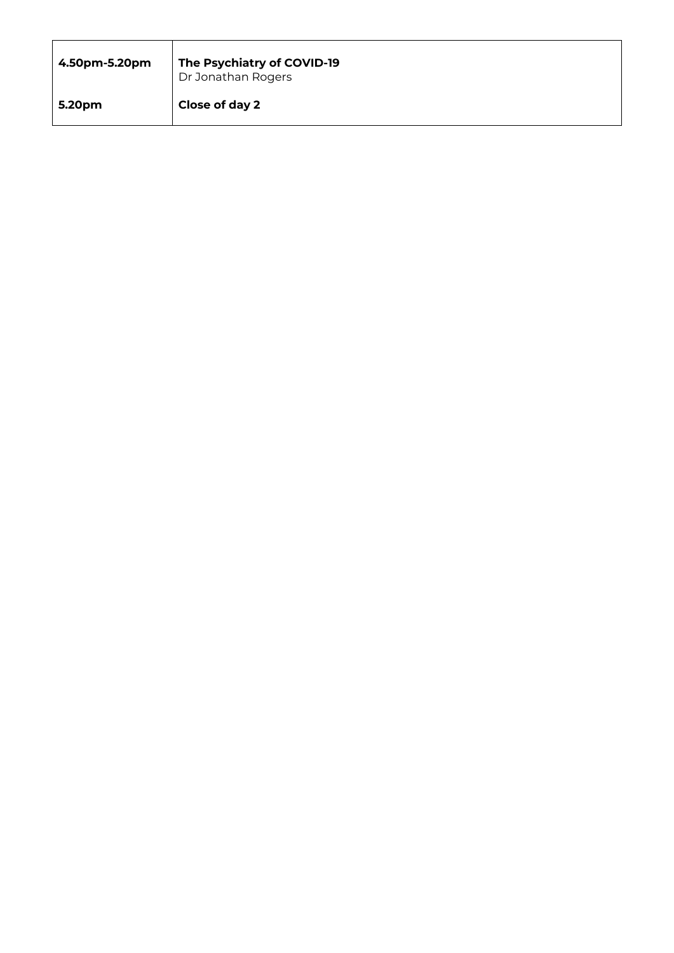| 4.50pm-5.20pm | The Psychiatry of COVID-19<br>Dr Jonathan Rogers |
|---------------|--------------------------------------------------|
| 5.20pm        | Close of day 2                                   |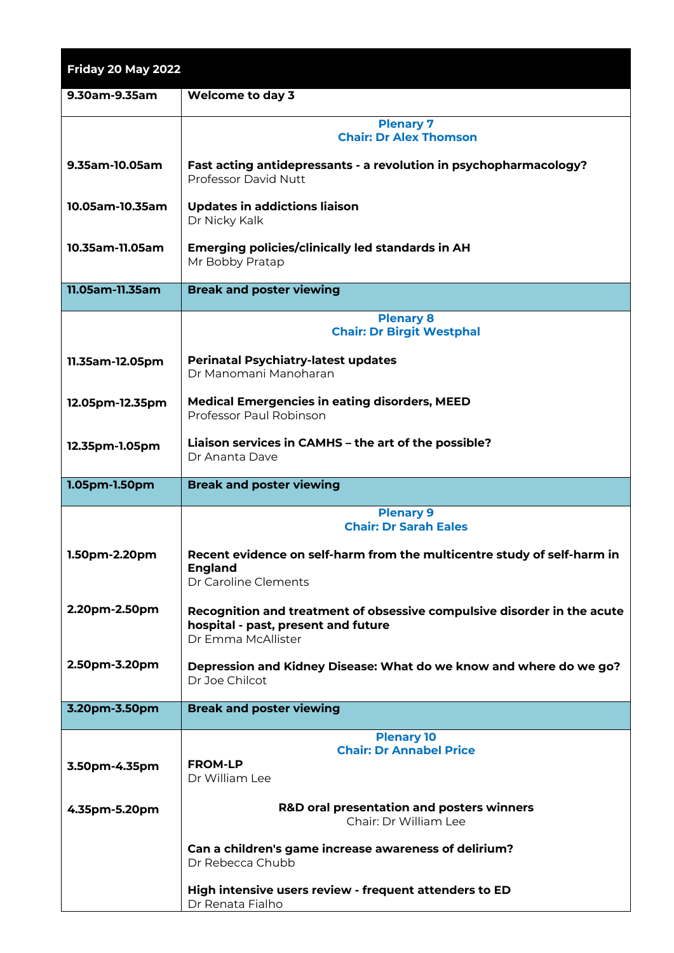| Friday 20 May 2022 |                                                                                                                                      |
|--------------------|--------------------------------------------------------------------------------------------------------------------------------------|
| 9.30am-9.35am      | <b>Welcome to day 3</b>                                                                                                              |
|                    | <b>Plenary 7</b>                                                                                                                     |
|                    | <b>Chair: Dr Alex Thomson</b>                                                                                                        |
| 9.35am-10.05am     | Fast acting antidepressants - a revolution in psychopharmacology?<br>Professor David Nutt                                            |
| 10.05am-10.35am    | <b>Updates in addictions liaison</b><br>Dr Nicky Kalk                                                                                |
| 10.35am-11.05am    | <b>Emerging policies/clinically led standards in AH</b><br>Mr Bobby Pratap                                                           |
| 11.05am-11.35am    | <b>Break and poster viewing</b>                                                                                                      |
|                    | <b>Plenary 8</b>                                                                                                                     |
|                    | <b>Chair: Dr Birgit Westphal</b>                                                                                                     |
| 11.35am-12.05pm    | <b>Perinatal Psychiatry-latest updates</b><br>Dr Manomani Manoharan                                                                  |
| 12.05pm-12.35pm    | <b>Medical Emergencies in eating disorders, MEED</b><br>Professor Paul Robinson                                                      |
| 12.35pm-1.05pm     | Liaison services in CAMHS - the art of the possible?<br>Dr Ananta Dave                                                               |
| 1.05pm-1.50pm      | <b>Break and poster viewing</b>                                                                                                      |
|                    | <b>Plenary 9</b>                                                                                                                     |
|                    |                                                                                                                                      |
|                    | <b>Chair: Dr Sarah Eales</b>                                                                                                         |
| 1.50pm-2.20pm      | Recent evidence on self-harm from the multicentre study of self-harm in<br><b>England</b><br>Dr Caroline Clements                    |
|                    |                                                                                                                                      |
| 2.20pm-2.50pm      | Recognition and treatment of obsessive compulsive disorder in the acute<br>hospital - past, present and future<br>Dr Emma McAllister |
| 2.50pm-3.20pm      | Depression and Kidney Disease: What do we know and where do we go?<br>Dr Joe Chilcot                                                 |
| 3.20pm-3.50pm      | <b>Break and poster viewing</b>                                                                                                      |
|                    |                                                                                                                                      |
|                    | <b>Plenary 10</b><br><b>Chair: Dr Annabel Price</b>                                                                                  |
| 3.50pm-4.35pm      | <b>FROM-LP</b><br>Dr William Lee                                                                                                     |
| 4.35pm-5.20pm      | <b>R&amp;D oral presentation and posters winners</b><br>Chair: Dr William Lee                                                        |
|                    | Can a children's game increase awareness of delirium?<br>Dr Rebecca Chubb                                                            |